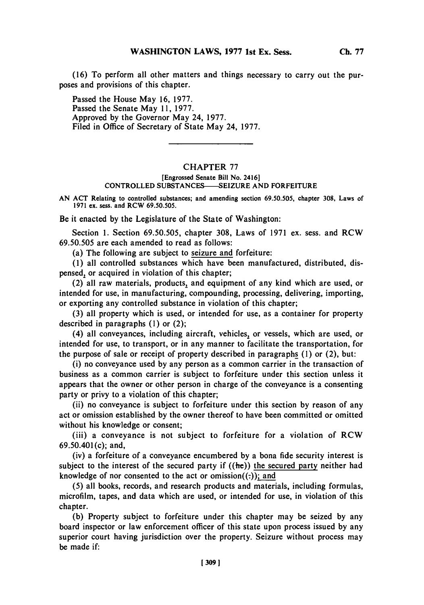**(16)** To perform all other matters and things necessary to carry out the purposes and provisions of this chapter.

Passed the House May **16, 1977.** Passed the Senate May **11, 1977.** Approved **by** the Governor May 24, **1977.** Filed in Office of Secretary of State May 24, **1977.**

## CHAPTER **77**

## **[Engrossed Senate Bill No. 2416] CONTROLLED SUBSTANCES--SEIZURE AND FORFEITURE**

**AN ACT Relating to controlled substances; and amending section 69.50.505, chapter 308, Laws of 1971 ex. sess. and RCW 69.50.505.**

Be it enacted **by** the Legislature of the State of Washington:

Section **1.** Section *69.50.505,* chapter **308,** Laws of **1971** ex. sess. and RCW **69.50.505** are each amended to read as follows:

(a) The following are subject to seizure and forfeiture:

**(1)** all controlled substances which have been manufactured, distributed, dispensed, or acquired in violation of this chapter;

(2) all raw materials, products, and equipment of any kind which are used, or intended for use, in manufacturing, compounding, processing, delivering, importing, or exporting any controlled substance in violation of this chapter;

**(3)** all property which is used, or intended for use, as a container for property described in paragraphs **(1)** or (2);

(4) all conveyances, including aircraft, vehicles, or vessels, which are used, or intended for use, to transport, or in any manner to facilitate the transportation, for the purpose of sale or receipt of property described in paragraphs **(1)** or (2), but:

(i) no conveyance used **by** any person as a common carrier in the transaction of business as a common carrier is subject to forfeiture under this section unless it appears that the owner or other person in charge of the conveyance is a consenting party or privy to a violation of this chapter;

(ii) no conveyance is subject to forfeiture under this section **by** reason of any act or omission established **by** the owner thereof to have been committed or omitted without his knowledge or consent;

(iii) a conveyance is not subject to forfeiture for a violation of RCW  $69.50.401(c)$ ; and,

(iv) a forfeiture of a conveyance encumbered **by** a bona fide security interest is subject to the interest of the secured party if  $((he))$  the secured party neither had knowledge of nor consented to the act or omission $((:)$ ; and

**(5)** all books, records, and research products and materials, including formulas, microfilm, tapes, and data which are used, or intended for use, in violation of this chapter.

**(b)** Property subject to forfeiture under this chapter may be seized **by** any board inspector or law enforcement officer of this state upon process issued **by** any superior court having jurisdiction over the property. Seizure without process may be made if:

**[ 3091**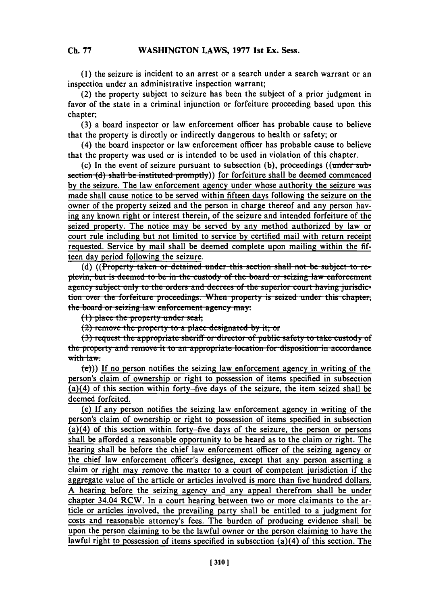**(1)** the seizure is incident to an arrest or a search under a search warrant or an inspection under an administrative inspection warrant;

(2) the property subject to seizure has been the subject of a prior judgment in favor of the state in a criminal injunction or forfeiture proceeding based upon this chapter;

**(3)** a board inspector or law enforcement officer has probable cause to believe that the property is directly or indirectly dangerous to health or safety; or

(4) the board inspector or law enforcement officer has probable cause to believe that the property was used or is intended to be used in violation of this chapter.

(c) In the event of seizure pursuant to subsection (b), proceedings ((under sub**section (d) shall be instituted promptly)** for forfeiture shall be deemed commenced **by** the seizure. The law enforcement agency under whose authority the seizure was made shall cause notice to be served within fifteen days following the seizure on the owner of the property seized and the person in charge thereof and any person having any known right or interest therein, of the seizure and intended forfeiture of the seized property. The notice may be served **by** any method authorized **by** law or court rule including but not limited to service **by** certified mail with return receipt requested. Service **by** mail shall be deemed complete upon mailing within the **fif**teen day period following the seizure.

**(d)** ((Property taken or detained under this section shall not be subject to replevin, but is deemed to be in the custody of the board or seizing law enforcement agency subject only to the orders and decrees of the superior court having jurisdiction over the forfeiture proceedings. When property is seized under this chapter, **the board or seizing law enforcement agency may:** 

(1) place the property under seal;<br>(2) remove the property to a place designated by it; or

(3) request the appropriate sheriff or director of public safety to take custody of **the property and remove it to an appropriate location for disposition in accordance** with law.

 $\langle \mathbf{e} \rangle$ )) If no person notifies the seizing law enforcement agency in writing of the person's claim of ownership or right to possession of items specified in subsection (a)(4) of this section within forty-five days of the seizure, the item seized shall be deemed forfeited.

(e) **If** any person notifies the seizing law enforcement agency in writing of the person's claim of ownership or right to possession of items specified in subsection  $(a)(4)$  of this section within forty–five days of the seizure, the person or persons shall be afforded a reasonable opportunity to be heard as to the claim or right. The hearing shall be before the chief law enforcement officer of the seizing agency or the chief law enforcement officer's designee, except that any person asserting a claim or right may remove the matter to a court of competent jurisdiction if the aggregate value of the article or articles involved is more than five hundred dollars. **A** hearing before the seizing agency and any appeal therefrom shall be under chapter 34.04 RCW. In a court hearing between two or more claimants to the article or articles involved, the prevailing party shall be entitled to a judgment for costs and reasonable attorney's fees. The burden of producing evidence shall be upon the person claiming to be the lawful owner or the person claiming to have the lawful right to possession of items specified in subsection (a)(4) of this section. The